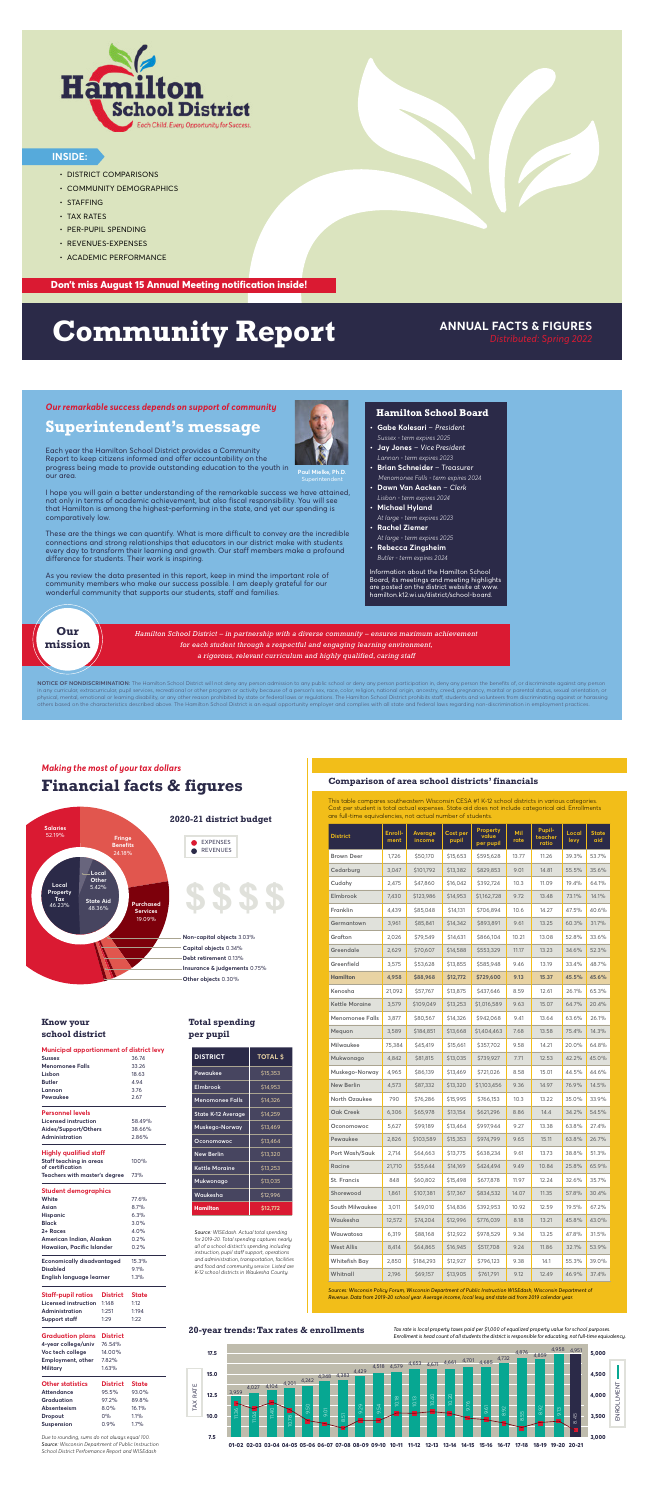NOTICE OF NONDISCRIMINATION: The Hamilton School District will not deny any person admission to any public school or deny any person participation in, deny any person the benefits of, or discriminate against any person in any curricular, extracurricular, pupil services, recreational or other program or activity because of a person's sex, race, color, religion, national origin, ancestry, creed, pregnancy, marital or parental status, sexua physical, mental, emotional or learning disability, or any other reason prohibited by state or federal laws or regulations. The Hamilton School District prohibits staff, students and volunteers from discriminating against others based on the characteristics described above. The Hamilton School District is an equal opportunity employer and complies with all state and federal laws regarding non-discrimination in employment practices.

*Hamilton School District – in partnership with a diverse community – ensures maximum achievement for each student through a respectful and engaging learning environment, a rigorous, relevant curriculum and highly qualified, caring staff*

#### **Hamilton School Board**

- **• Gabe Kolesari** *President*
- *Sussex term expires 2025* **• Jay Jones** – *Vice President*
- *Lannon term expires 2023*
- **• Brian Schneider** Treasurer  *Menomonee Falls - term expires 2024*
- **• Dawn Van Aacken** *Clerk Lisbon - term expires 2024*
- **• Michael Hyland**
- *At large term expires 2023* **• Rachel Ziemer**
- *At large term expires 2025*
- **• Rebecca Zingsheim**  *Butler - term expires 2024*

Information about the Hamilton School Board, its meetings and meeting highlights are posted on the district website at www. hamilton.k12.wi.us/district/school-board.

**Paul Mielke, Ph.D.**

Each year the Hamilton School District provides a Community Report to keep citizens informed and offer accountability on the progress being made to provide outstanding education to the youth in

our area.

I hope you will gain a better understanding of the remarkable success we have attained, not only in terms of academic achievement, but also fiscal responsibility. You will see that Hamilton is among the highest-performing in the state, and yet our spending is comparatively low.

These are the things we can quantify. What is more difficult to convey are the incredible connections and strong relationships that educators in our district make with students every day to transform their learning and growth. Our staff members make a profound difference for students. Their work is inspiring.

As you review the data presented in this report, keep in mind the important role of community members who make our success possible. I am deeply grateful for our wonderful community that supports our students, staff and families.

### **Superintendent's message**

#### *Our remarkable success depends on support of community*

**Our mission**

## **Financial facts & figures**

*Making the most of your tax dollars*

**2020-21 district budget**

**Other objects** 0.30% **Insurance & judgements** 0.75% **Debt retirement** 0.13% **Capital objects** 0.34% **Non-capital objects** 3.03%



#### **Comparison of area school districts' financials**

| <b>District</b>        | Enroll-<br>ment | Average<br>income | Cost per<br>pupil | <b>Property</b><br>value<br>per pupil | Mil<br>rate | <b>Pupil-</b><br>teacher<br>ratio | Local<br>levy | <b>State</b><br>aid |
|------------------------|-----------------|-------------------|-------------------|---------------------------------------|-------------|-----------------------------------|---------------|---------------------|
| <b>Brown Deer</b>      | 1,726           | \$50,170          | \$15,653          | \$595,628                             | 13.77       | 11.26                             | 39.3%         | 53.7%               |
| Cedarburg              | 3,047           | \$101,792         | \$13,382          | \$829,853                             | 9.01        | 14.81                             | 55.5%         | 35.6%               |
| Cudahy                 | 2,475           | \$47,860          | \$16,042          | \$392,724                             | 10.3        | 11.09                             | 19.4%         | 64.1%               |
| Elmbrook               | 7,430           | \$123,986         | \$14,953          | \$1,162,728                           | 9.72        | 13.48                             | 73.1%         | 14.1%               |
| Franklin               | 4,439           | \$85,048          | \$14,131          | \$706,894                             | 10.6        | 14.27                             | 47.5%         | 40.6%               |
| Germantown             | 3,961           | \$85,841          | \$14,342          | \$893,891                             | 9.61        | 13.25                             | 60.3%         | 31.7%               |
| Grafton                | 2,026           | \$79,549          | \$14,631          | \$866,104                             | 10.21       | 13.08                             | 52.8%         | 33.6%               |
| Greendale              | 2,629           | \$70,607          | \$14,588          | \$553,329                             | 11.17       | 13.23                             | 34.6%         | 52.3%               |
| Greenfield             | 3,575           | \$53,628          | \$13,855          | \$585,948                             | 9.46        | 13.19                             | 33.4%         | 48.7%               |
| <b>Hamilton</b>        | 4,958           | \$88,968          | \$12,772          | \$729,600                             | 9.13        | 15.37                             | 45.5%         | 45.6%               |
| Kenosha                | 21,092          | \$57,767          | \$13,875          | \$437,646                             | 8.59        | 12.61                             | 26.1%         | 65.3%               |
| <b>Kettle Moraine</b>  | 3,579           | \$109,049         | \$13,253          | \$1,016,589                           | 9.63        | 15.07                             | 64.7%         | 20.4%               |
| <b>Menomonee Falls</b> | 3,877           | \$80,567          | \$14,326          | \$942,068                             | 9.41        | 13.64                             | 63.6%         | 26.1%               |
| Mequon                 | 3,589           | \$184,851         | \$13,668          | \$1,404,463                           | 7.68        | 13.58                             | 75.4%         | 14.3%               |
| Milwaukee              | 75,384          | \$45,419          | \$15,661          | \$357,702                             | 9.58        | 14.21                             | 20.0%         | 64.8%               |
| Mukwonago              | 4,842           | \$81,815          | \$13,035          | \$739,927                             | 7.71        | 12.53                             | 42.2%         | 45.0%               |
| Muskego-Norway         | 4,965           | \$86,139          | \$13,469          | \$721,026                             | 8.58        | 15.01                             | 44.5%         | 44.6%               |
| <b>New Berlin</b>      | 4,573           | \$87,332          | \$13,320          | \$1,103,456                           | 9.36        | 14.97                             | 76.9%         | 14.5%               |
| North Ozaukee          | 790             | \$76,286          | \$15,995          | \$766,153                             | 10.3        | 13.22                             | 35.0%         | 33.9%               |
| Oak Creek              | 6,306           | \$65,978          | \$13,154          | \$621,296                             | 8.86        | 14.4                              | 34.2%         | 54.5%               |
| Oconomowoc             | 5,627           | \$99,189          | \$13,464          | \$997,944                             | 9.27        | 13.38                             | 63.8%         | 27.4%               |
| Pewaukee               | 2,826           | \$103,589         | \$15,353          | \$974,799                             | 9.65        | 15.11                             | 63.8%         | 26.7%               |
| Port Wash/Sauk         | 2,714           | \$64,663          | \$13,775          | \$638,234                             | 9.61        | 13.73                             | 38.8%         | 51.3%               |
| Racine                 | 21,710          | \$55,644          | \$14,169          | \$424,494                             | 9.49        | 10.84                             | 25.8%         | 65.9%               |
| St. Francis            | 848             | \$60,802          | \$15,498          | \$677,878                             | 11.97       | 12.24                             | 32.6%         | 35.7%               |
| Shorewood              | 1,861           | \$107,381         | \$17,367          | \$834,532                             | 14.07       | 11.35                             | 57.8%         | 30.4%               |
| South Milwaukee        | 3,011           | \$49,010          | \$14,836          | \$392,953                             | 10.92       | 12.59                             | 19.5%         | 67.2%               |
| Waukesha               | 12,572          | \$74,204          | \$12,996          | \$776,039                             | 8.18        | 13.21                             | 45.8%         | 43.0%               |
| Wauwatosa              | 6,319           | \$88,168          | \$12,922          | \$978,529                             | 9.34        | 13.25                             | 47.8%         | 31.5%               |
| <b>West Allis</b>      | 8,414           | \$64,865          | \$16,945          | \$517,708                             | 9.24        | 11.86                             | 32.1%         | 53.9%               |
| Whitefish Bay          | 2,850           | \$184,293         | \$12,927          | \$796,123                             | 9.38        | 14.1                              | 55.3%         | 39.0%               |
| Whitnall               | 2,196           | \$69,157          | \$13,905          | \$761,791                             | 9.12        | 12.49                             | 46.9%         | 37.4%               |

**\$\$\$\$**

This table compares southeastern Wisconsin CESA #1 K-12 school districts in various categories. Cost per student is total actual expenses. State aid does not include categorical aid. Enrollments are full-time equivalencies, not actual number of students.



*Sources: Wisconsin Policy Forum, Wisconsin Department of Public Instruction WISEdash, Wisconsin Department of Revenue. Data from 2019-20 school year. Average income, local levy and state aid from 2019 calendar year.*

| <b>DISTRICT</b>           | <b>TOTAL \$</b> |
|---------------------------|-----------------|
| Pewaukee                  | \$15,353        |
| Elmbrook                  | \$14.953        |
| <b>Menomonee Falls</b>    | \$14,326        |
| <b>State K-12 Average</b> | \$14,259        |
| Muskego-Norway            | \$13,469        |
| Oconomowoc                | \$13,464        |
| <b>New Berlin</b>         | \$13,320        |
| <b>Kettle Moraine</b>     | \$13,253        |
| Mukwonago                 | \$13,035        |
| Waukesha                  | \$12,996        |
| Hamilton                  | \$12,772        |

#### **Total spending per pupil**

*Source: WISEdash. Actual total spending for 2019-20. Total spending captures nearly all of a school distirct's spending including instruction, pupil staff support, operations and administration, transportation, facilities and food and community service. Listed are K-12 school districts in Waukesha County.* 

#### **Know your school district**

| Municipal apportionment of district levy     |              |
|----------------------------------------------|--------------|
| Sussex                                       | 36.74        |
| Menomonee Falls                              | 33.26        |
| Lisbon                                       | 18.63        |
| <b>Butler</b>                                | 4.94         |
| Lannon                                       | 3.76         |
| Pewaukee                                     | 2.67         |
| <b>Personnel levels</b>                      |              |
| Licensed instruction                         | 58.49%       |
| Aides/Support/Others                         | 38.66%       |
| Administration                               | 286%         |
| Highly qualified staff                       |              |
| Staff teachina in areas<br>of certification  | 100%         |
| Teachers with master's degree                | 73%          |
| <b>Student demographics</b>                  |              |
| White                                        | <b>776%</b>  |
| Asian                                        | 8.7%         |
| <b>Hispanic</b>                              | 6.3%         |
| Black                                        | 30%          |
| 2+ Races                                     | 40%          |
| American Indian, Alaskan                     | 0.2%         |
| Hawaiian, Pacific Islander                   | 0.2%         |
| <b>Economically disadvantaged</b>            | 15.3%        |
| <b>Disabled</b>                              | 9.1%         |
| English language learner                     | 1.3%         |
| <b>Staff-pupil ratios</b><br><b>District</b> | <b>State</b> |
| Licensed instruction<br>1:148                | 1:12         |

| <b>Administration</b>            | 1.251  | 1.194 |
|----------------------------------|--------|-------|
| <b>Support staff</b>             | 1.29   | 1.22  |
|                                  |        |       |
| <b>Graduation plans District</b> |        |       |
| 4-year college/univ              | 76.54% |       |

| Voc tech college         | 14.00%          |              |
|--------------------------|-----------------|--------------|
| <b>Employment, other</b> | 7.82%           |              |
| Military                 | 1.63%           |              |
| <b>Other statistics</b>  | <b>District</b> | <b>State</b> |
| <b>Attendance</b>        | 95.5%           | 93.0%        |
| Graduation               | 97.2%           | 89.8%        |
| <b>Absenteeism</b>       | 8.0%            | 161%         |
| <b>Dropout</b>           | 0%              | 1.1%         |
| Suspension               | 0.9%            | 1.7%         |
|                          |                 |              |

*Due to rounding, sums do not always equal 100. Source: Wisconsin Department of Public Instruction School District Performance Report and WISEdash*



*Tax rate is local property taxes paid per \$1,000 of equalized property value for school purposes. Enrollment is head count of all students the district is responsible for educating, not full-time equivalency.*



- DISTRICT COMPARISONS
- COMMUNITY DEMOGRAPHICS
- STAFFING
- TAX RATES
- PER-PUPIL SPENDING
- REVENUES-EXPENSES
- ACADEMIC PERFORMANCE



#### **INSIDE:**

#### **Don't miss August 15 Annual Meeting notification inside!**

# **Community Report** ANNUAL FACTS & FIGURES